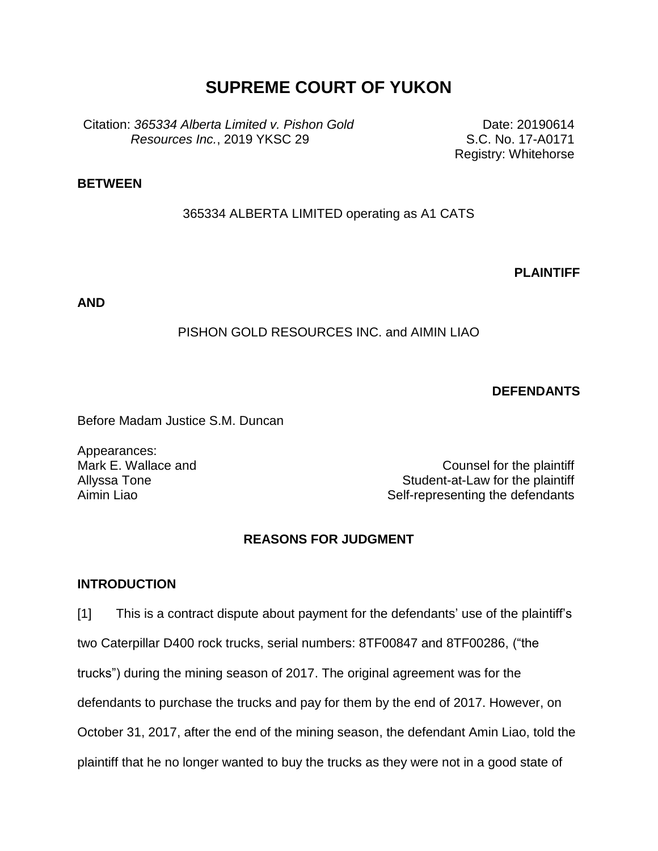# **SUPREME COURT OF YUKON**

Citation: *365334 Alberta Limited v. Pishon Gold Resources Inc.*, 2019 YKSC 29

Date: 20190614 S.C. No. 17-A0171 Registry: Whitehorse

# **BETWEEN**

# 365334 ALBERTA LIMITED operating as A1 CATS

**PLAINTIFF**

**AND**

# PISHON GOLD RESOURCES INC. and AIMIN LIAO

**DEFENDANTS**

Before Madam Justice S.M. Duncan

Appearances: Mark E. Wallace and Allyssa Tone

Counsel for the plaintiff Student-at-Law for the plaintiff Aimin Liao **Self-representing the defendants** 

# **REASONS FOR JUDGMENT**

### **INTRODUCTION**

[1] This is a contract dispute about payment for the defendants' use of the plaintiff's two Caterpillar D400 rock trucks, serial numbers: 8TF00847 and 8TF00286, ("the trucks") during the mining season of 2017. The original agreement was for the defendants to purchase the trucks and pay for them by the end of 2017. However, on October 31, 2017, after the end of the mining season, the defendant Amin Liao, told the plaintiff that he no longer wanted to buy the trucks as they were not in a good state of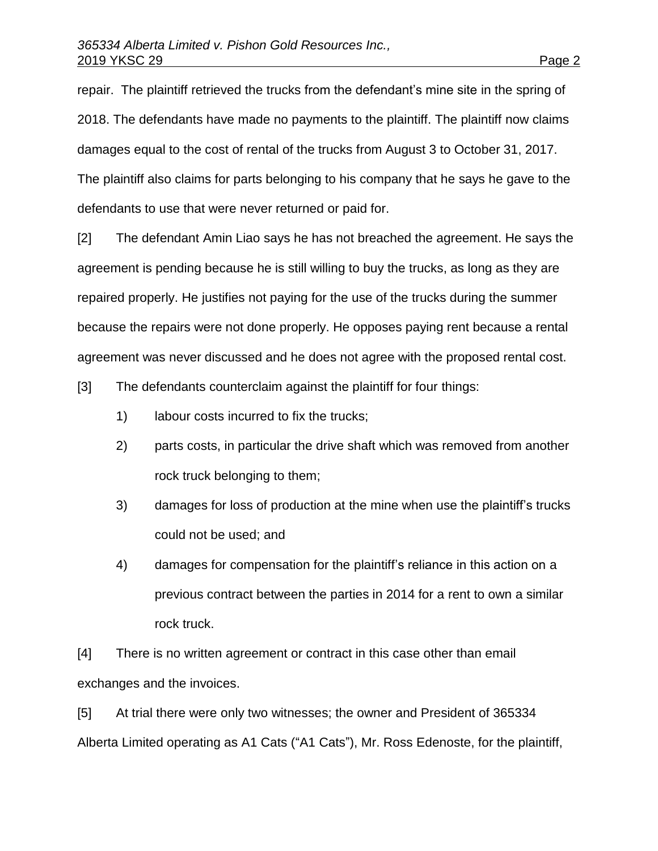repair. The plaintiff retrieved the trucks from the defendant's mine site in the spring of 2018. The defendants have made no payments to the plaintiff. The plaintiff now claims damages equal to the cost of rental of the trucks from August 3 to October 31, 2017. The plaintiff also claims for parts belonging to his company that he says he gave to the defendants to use that were never returned or paid for.

[2] The defendant Amin Liao says he has not breached the agreement. He says the agreement is pending because he is still willing to buy the trucks, as long as they are repaired properly. He justifies not paying for the use of the trucks during the summer because the repairs were not done properly. He opposes paying rent because a rental agreement was never discussed and he does not agree with the proposed rental cost.

[3] The defendants counterclaim against the plaintiff for four things:

- 1) labour costs incurred to fix the trucks;
- 2) parts costs, in particular the drive shaft which was removed from another rock truck belonging to them;
- 3) damages for loss of production at the mine when use the plaintiff's trucks could not be used; and
- 4) damages for compensation for the plaintiff's reliance in this action on a previous contract between the parties in 2014 for a rent to own a similar rock truck.

[4] There is no written agreement or contract in this case other than email exchanges and the invoices.

[5] At trial there were only two witnesses; the owner and President of 365334 Alberta Limited operating as A1 Cats ("A1 Cats"), Mr. Ross Edenoste, for the plaintiff,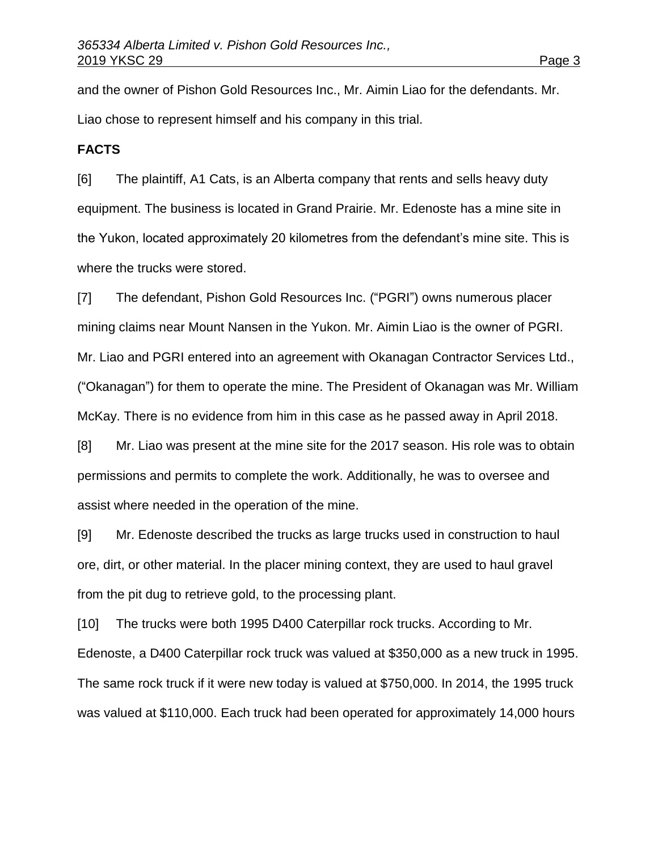and the owner of Pishon Gold Resources Inc., Mr. Aimin Liao for the defendants. Mr. Liao chose to represent himself and his company in this trial.

# **FACTS**

[6] The plaintiff, A1 Cats, is an Alberta company that rents and sells heavy duty equipment. The business is located in Grand Prairie. Mr. Edenoste has a mine site in the Yukon, located approximately 20 kilometres from the defendant's mine site. This is where the trucks were stored.

[7] The defendant, Pishon Gold Resources Inc. ("PGRI") owns numerous placer mining claims near Mount Nansen in the Yukon. Mr. Aimin Liao is the owner of PGRI. Mr. Liao and PGRI entered into an agreement with Okanagan Contractor Services Ltd., ("Okanagan") for them to operate the mine. The President of Okanagan was Mr. William McKay. There is no evidence from him in this case as he passed away in April 2018.

[8] Mr. Liao was present at the mine site for the 2017 season. His role was to obtain permissions and permits to complete the work. Additionally, he was to oversee and assist where needed in the operation of the mine.

[9] Mr. Edenoste described the trucks as large trucks used in construction to haul ore, dirt, or other material. In the placer mining context, they are used to haul gravel from the pit dug to retrieve gold, to the processing plant.

[10] The trucks were both 1995 D400 Caterpillar rock trucks. According to Mr. Edenoste, a D400 Caterpillar rock truck was valued at \$350,000 as a new truck in 1995. The same rock truck if it were new today is valued at \$750,000. In 2014, the 1995 truck was valued at \$110,000. Each truck had been operated for approximately 14,000 hours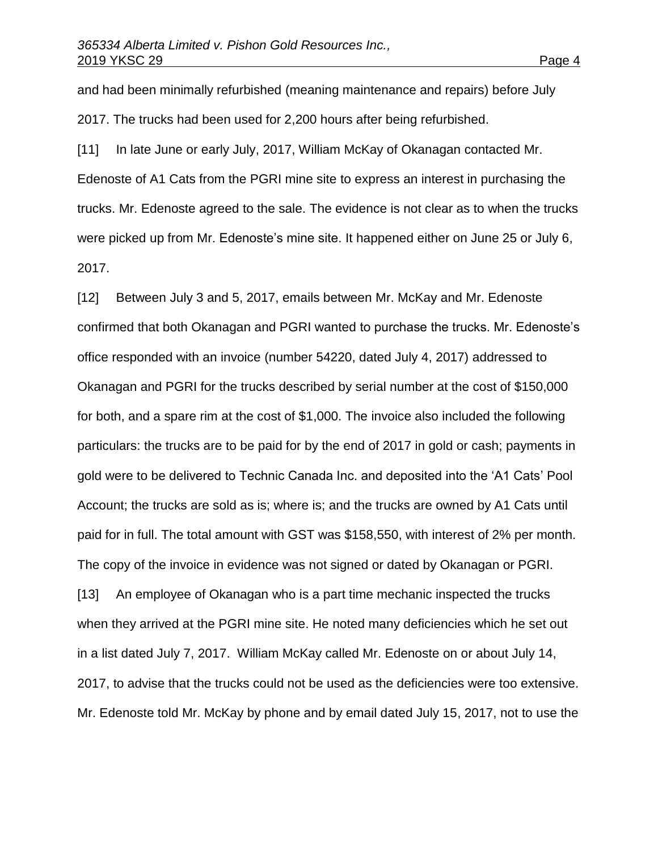and had been minimally refurbished (meaning maintenance and repairs) before July 2017. The trucks had been used for 2,200 hours after being refurbished.

[11] In late June or early July, 2017, William McKay of Okanagan contacted Mr. Edenoste of A1 Cats from the PGRI mine site to express an interest in purchasing the trucks. Mr. Edenoste agreed to the sale. The evidence is not clear as to when the trucks were picked up from Mr. Edenoste's mine site. It happened either on June 25 or July 6, 2017.

[12] Between July 3 and 5, 2017, emails between Mr. McKay and Mr. Edenoste confirmed that both Okanagan and PGRI wanted to purchase the trucks. Mr. Edenoste's office responded with an invoice (number 54220, dated July 4, 2017) addressed to Okanagan and PGRI for the trucks described by serial number at the cost of \$150,000 for both, and a spare rim at the cost of \$1,000. The invoice also included the following particulars: the trucks are to be paid for by the end of 2017 in gold or cash; payments in gold were to be delivered to Technic Canada Inc. and deposited into the 'A1 Cats' Pool Account; the trucks are sold as is; where is; and the trucks are owned by A1 Cats until paid for in full. The total amount with GST was \$158,550, with interest of 2% per month. The copy of the invoice in evidence was not signed or dated by Okanagan or PGRI.

[13] An employee of Okanagan who is a part time mechanic inspected the trucks when they arrived at the PGRI mine site. He noted many deficiencies which he set out in a list dated July 7, 2017. William McKay called Mr. Edenoste on or about July 14, 2017, to advise that the trucks could not be used as the deficiencies were too extensive. Mr. Edenoste told Mr. McKay by phone and by email dated July 15, 2017, not to use the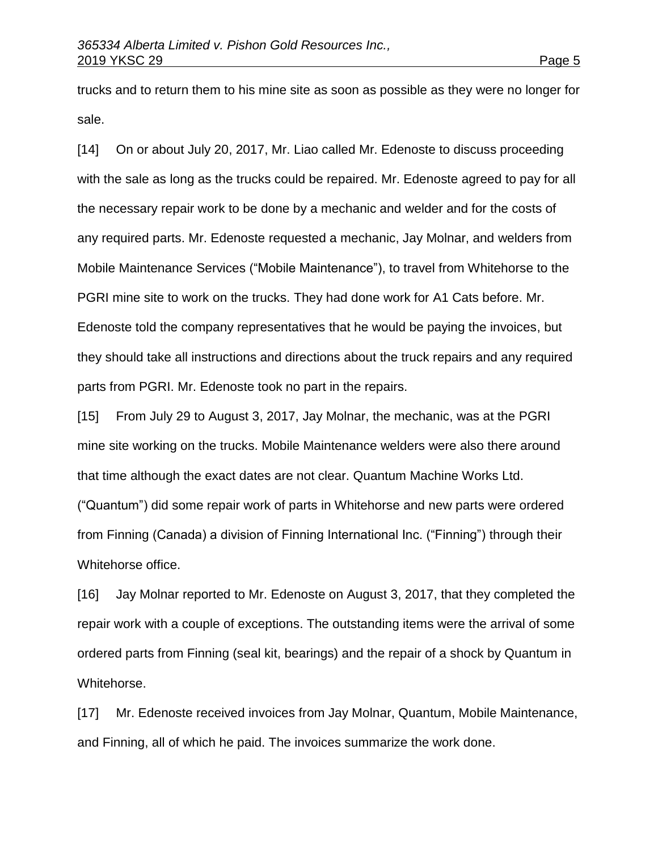trucks and to return them to his mine site as soon as possible as they were no longer for sale.

[14] On or about July 20, 2017, Mr. Liao called Mr. Edenoste to discuss proceeding with the sale as long as the trucks could be repaired. Mr. Edenoste agreed to pay for all the necessary repair work to be done by a mechanic and welder and for the costs of any required parts. Mr. Edenoste requested a mechanic, Jay Molnar, and welders from Mobile Maintenance Services ("Mobile Maintenance"), to travel from Whitehorse to the PGRI mine site to work on the trucks. They had done work for A1 Cats before. Mr. Edenoste told the company representatives that he would be paying the invoices, but they should take all instructions and directions about the truck repairs and any required parts from PGRI. Mr. Edenoste took no part in the repairs.

[15] From July 29 to August 3, 2017, Jay Molnar, the mechanic, was at the PGRI mine site working on the trucks. Mobile Maintenance welders were also there around that time although the exact dates are not clear. Quantum Machine Works Ltd. ("Quantum") did some repair work of parts in Whitehorse and new parts were ordered from Finning (Canada) a division of Finning International Inc. ("Finning") through their Whitehorse office.

[16] Jay Molnar reported to Mr. Edenoste on August 3, 2017, that they completed the repair work with a couple of exceptions. The outstanding items were the arrival of some ordered parts from Finning (seal kit, bearings) and the repair of a shock by Quantum in Whitehorse.

[17] Mr. Edenoste received invoices from Jay Molnar, Quantum, Mobile Maintenance, and Finning, all of which he paid. The invoices summarize the work done.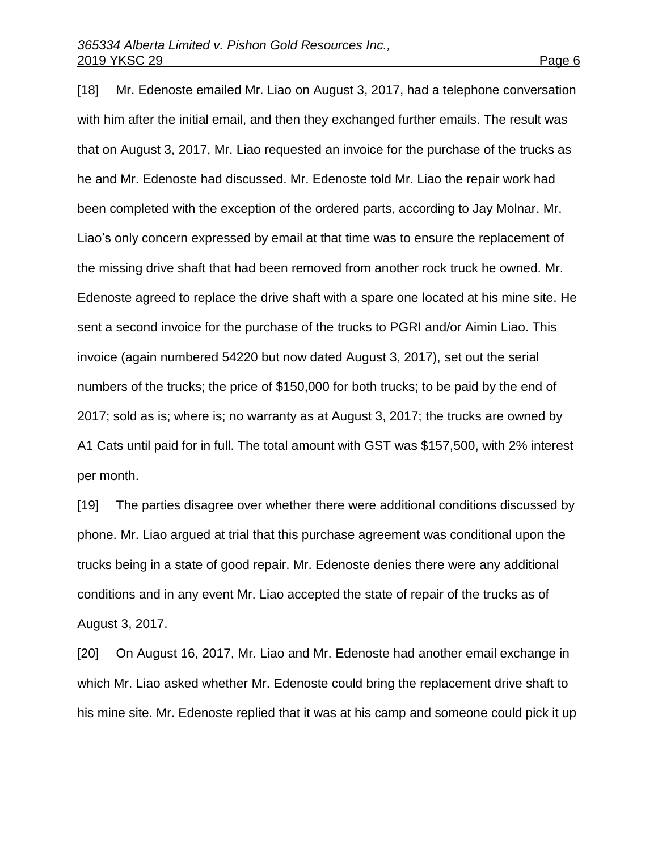[18] Mr. Edenoste emailed Mr. Liao on August 3, 2017, had a telephone conversation with him after the initial email, and then they exchanged further emails. The result was that on August 3, 2017, Mr. Liao requested an invoice for the purchase of the trucks as he and Mr. Edenoste had discussed. Mr. Edenoste told Mr. Liao the repair work had been completed with the exception of the ordered parts, according to Jay Molnar. Mr. Liao's only concern expressed by email at that time was to ensure the replacement of the missing drive shaft that had been removed from another rock truck he owned. Mr. Edenoste agreed to replace the drive shaft with a spare one located at his mine site. He sent a second invoice for the purchase of the trucks to PGRI and/or Aimin Liao. This invoice (again numbered 54220 but now dated August 3, 2017), set out the serial numbers of the trucks; the price of \$150,000 for both trucks; to be paid by the end of 2017; sold as is; where is; no warranty as at August 3, 2017; the trucks are owned by A1 Cats until paid for in full. The total amount with GST was \$157,500, with 2% interest per month.

[19] The parties disagree over whether there were additional conditions discussed by phone. Mr. Liao argued at trial that this purchase agreement was conditional upon the trucks being in a state of good repair. Mr. Edenoste denies there were any additional conditions and in any event Mr. Liao accepted the state of repair of the trucks as of August 3, 2017.

[20] On August 16, 2017, Mr. Liao and Mr. Edenoste had another email exchange in which Mr. Liao asked whether Mr. Edenoste could bring the replacement drive shaft to his mine site. Mr. Edenoste replied that it was at his camp and someone could pick it up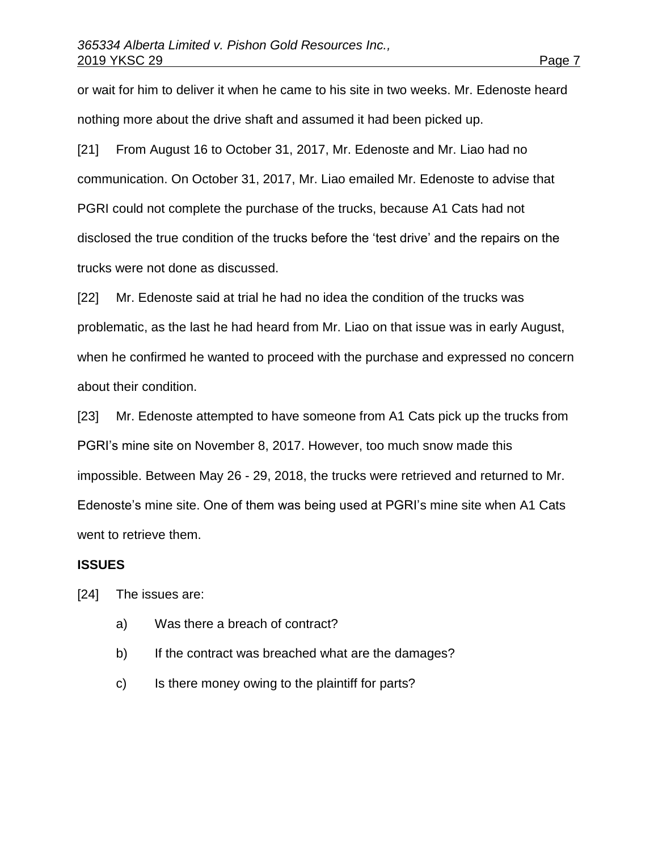or wait for him to deliver it when he came to his site in two weeks. Mr. Edenoste heard nothing more about the drive shaft and assumed it had been picked up.

[21] From August 16 to October 31, 2017, Mr. Edenoste and Mr. Liao had no communication. On October 31, 2017, Mr. Liao emailed Mr. Edenoste to advise that PGRI could not complete the purchase of the trucks, because A1 Cats had not disclosed the true condition of the trucks before the 'test drive' and the repairs on the trucks were not done as discussed.

[22] Mr. Edenoste said at trial he had no idea the condition of the trucks was problematic, as the last he had heard from Mr. Liao on that issue was in early August, when he confirmed he wanted to proceed with the purchase and expressed no concern about their condition.

[23] Mr. Edenoste attempted to have someone from A1 Cats pick up the trucks from PGRI's mine site on November 8, 2017. However, too much snow made this impossible. Between May 26 - 29, 2018, the trucks were retrieved and returned to Mr. Edenoste's mine site. One of them was being used at PGRI's mine site when A1 Cats went to retrieve them.

### **ISSUES**

[24] The issues are:

- a) Was there a breach of contract?
- b) If the contract was breached what are the damages?
- c) Is there money owing to the plaintiff for parts?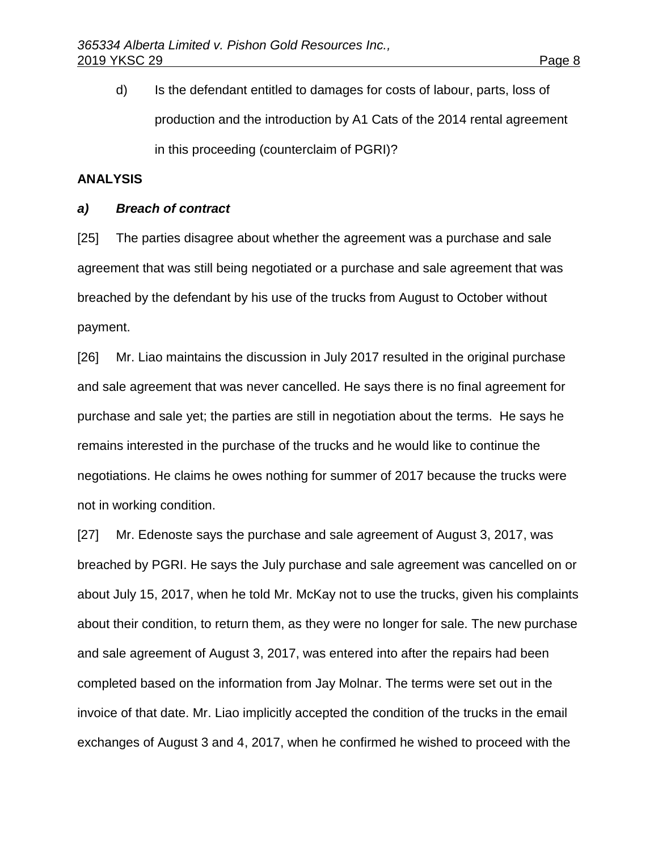d) Is the defendant entitled to damages for costs of labour, parts, loss of production and the introduction by A1 Cats of the 2014 rental agreement in this proceeding (counterclaim of PGRI)?

# **ANALYSIS**

# *a) Breach of contract*

[25] The parties disagree about whether the agreement was a purchase and sale agreement that was still being negotiated or a purchase and sale agreement that was breached by the defendant by his use of the trucks from August to October without payment.

[26] Mr. Liao maintains the discussion in July 2017 resulted in the original purchase and sale agreement that was never cancelled. He says there is no final agreement for purchase and sale yet; the parties are still in negotiation about the terms. He says he remains interested in the purchase of the trucks and he would like to continue the negotiations. He claims he owes nothing for summer of 2017 because the trucks were not in working condition.

[27] Mr. Edenoste says the purchase and sale agreement of August 3, 2017, was breached by PGRI. He says the July purchase and sale agreement was cancelled on or about July 15, 2017, when he told Mr. McKay not to use the trucks, given his complaints about their condition, to return them, as they were no longer for sale. The new purchase and sale agreement of August 3, 2017, was entered into after the repairs had been completed based on the information from Jay Molnar. The terms were set out in the invoice of that date. Mr. Liao implicitly accepted the condition of the trucks in the email exchanges of August 3 and 4, 2017, when he confirmed he wished to proceed with the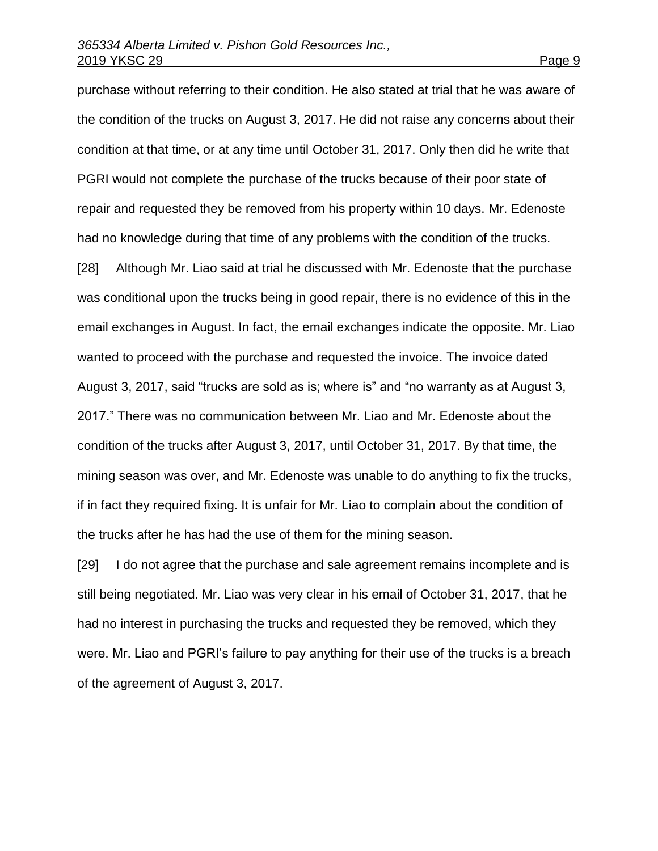purchase without referring to their condition. He also stated at trial that he was aware of the condition of the trucks on August 3, 2017. He did not raise any concerns about their condition at that time, or at any time until October 31, 2017. Only then did he write that PGRI would not complete the purchase of the trucks because of their poor state of repair and requested they be removed from his property within 10 days. Mr. Edenoste had no knowledge during that time of any problems with the condition of the trucks. [28] Although Mr. Liao said at trial he discussed with Mr. Edenoste that the purchase was conditional upon the trucks being in good repair, there is no evidence of this in the email exchanges in August. In fact, the email exchanges indicate the opposite. Mr. Liao wanted to proceed with the purchase and requested the invoice. The invoice dated August 3, 2017, said "trucks are sold as is; where is" and "no warranty as at August 3, 2017." There was no communication between Mr. Liao and Mr. Edenoste about the condition of the trucks after August 3, 2017, until October 31, 2017. By that time, the mining season was over, and Mr. Edenoste was unable to do anything to fix the trucks, if in fact they required fixing. It is unfair for Mr. Liao to complain about the condition of the trucks after he has had the use of them for the mining season.

[29] I do not agree that the purchase and sale agreement remains incomplete and is still being negotiated. Mr. Liao was very clear in his email of October 31, 2017, that he had no interest in purchasing the trucks and requested they be removed, which they were. Mr. Liao and PGRI's failure to pay anything for their use of the trucks is a breach of the agreement of August 3, 2017.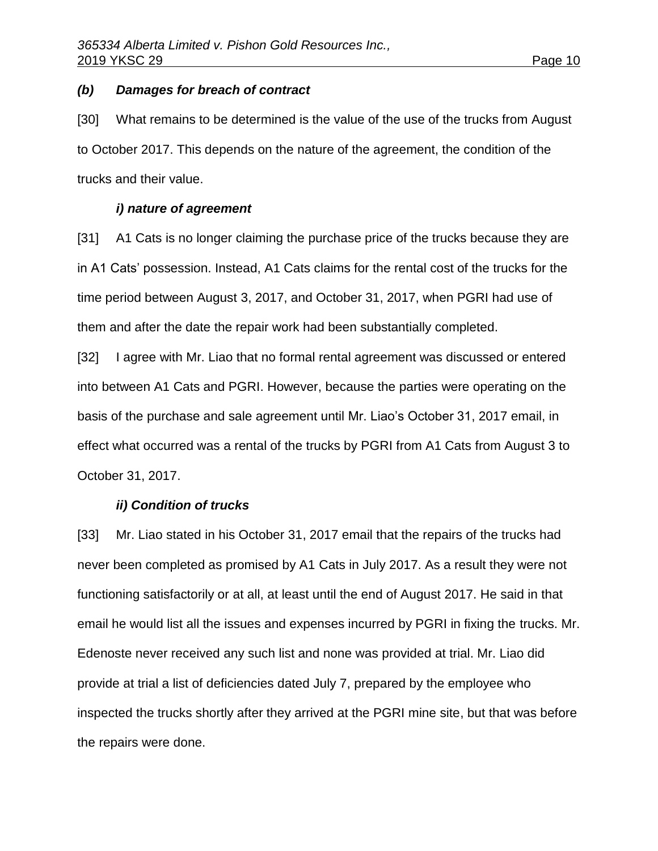### *(b) Damages for breach of contract*

[30] What remains to be determined is the value of the use of the trucks from August to October 2017. This depends on the nature of the agreement, the condition of the trucks and their value.

# *i) nature of agreement*

[31] A1 Cats is no longer claiming the purchase price of the trucks because they are in A1 Cats' possession. Instead, A1 Cats claims for the rental cost of the trucks for the time period between August 3, 2017, and October 31, 2017, when PGRI had use of them and after the date the repair work had been substantially completed.

[32] I agree with Mr. Liao that no formal rental agreement was discussed or entered into between A1 Cats and PGRI. However, because the parties were operating on the basis of the purchase and sale agreement until Mr. Liao's October 31, 2017 email, in effect what occurred was a rental of the trucks by PGRI from A1 Cats from August 3 to October 31, 2017.

## *ii) Condition of trucks*

[33] Mr. Liao stated in his October 31, 2017 email that the repairs of the trucks had never been completed as promised by A1 Cats in July 2017. As a result they were not functioning satisfactorily or at all, at least until the end of August 2017. He said in that email he would list all the issues and expenses incurred by PGRI in fixing the trucks. Mr. Edenoste never received any such list and none was provided at trial. Mr. Liao did provide at trial a list of deficiencies dated July 7, prepared by the employee who inspected the trucks shortly after they arrived at the PGRI mine site, but that was before the repairs were done.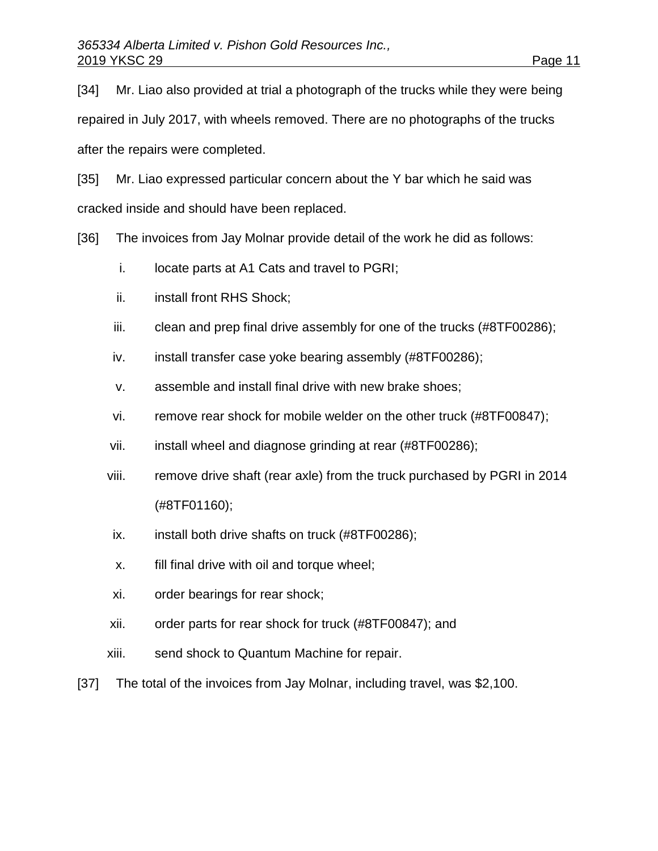[34] Mr. Liao also provided at trial a photograph of the trucks while they were being repaired in July 2017, with wheels removed. There are no photographs of the trucks after the repairs were completed.

[35] Mr. Liao expressed particular concern about the Y bar which he said was cracked inside and should have been replaced.

[36] The invoices from Jay Molnar provide detail of the work he did as follows:

- i. locate parts at A1 Cats and travel to PGRI;
- ii. install front RHS Shock;
- iii. clean and prep final drive assembly for one of the trucks (#8TF00286);
- iv. install transfer case yoke bearing assembly (#8TF00286);
- v. assemble and install final drive with new brake shoes;
- vi. remove rear shock for mobile welder on the other truck (#8TF00847);
- vii. install wheel and diagnose grinding at rear (#8TF00286);
- viii. remove drive shaft (rear axle) from the truck purchased by PGRI in 2014 (#8TF01160);
- ix. install both drive shafts on truck (#8TF00286);
- x. fill final drive with oil and torque wheel;
- xi. order bearings for rear shock;
- xii. order parts for rear shock for truck (#8TF00847); and
- xiii. send shock to Quantum Machine for repair.
- [37] The total of the invoices from Jay Molnar, including travel, was \$2,100.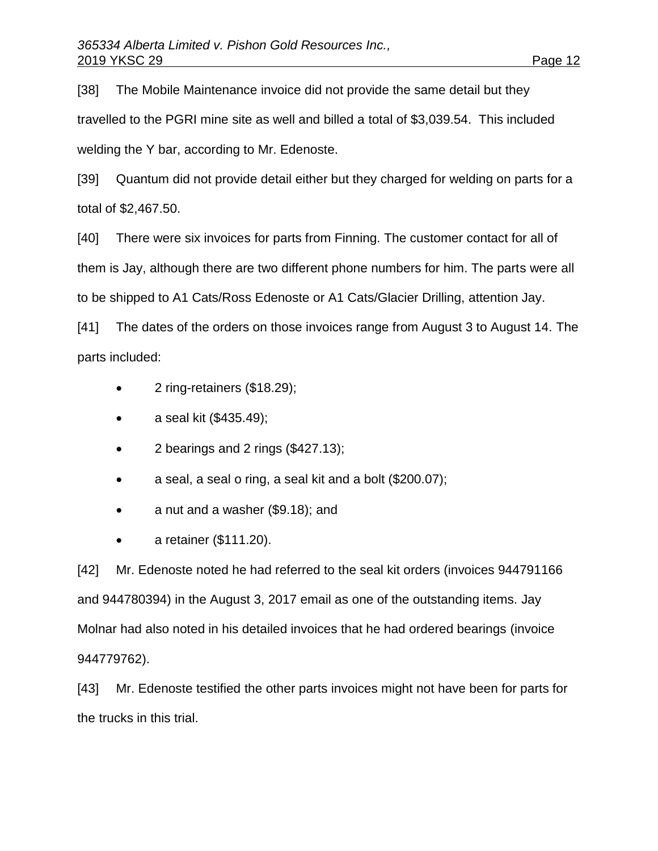[38] The Mobile Maintenance invoice did not provide the same detail but they travelled to the PGRI mine site as well and billed a total of \$3,039.54. This included welding the Y bar, according to Mr. Edenoste.

[39] Quantum did not provide detail either but they charged for welding on parts for a total of \$2,467.50.

[40] There were six invoices for parts from Finning. The customer contact for all of them is Jay, although there are two different phone numbers for him. The parts were all to be shipped to A1 Cats/Ross Edenoste or A1 Cats/Glacier Drilling, attention Jay.

[41] The dates of the orders on those invoices range from August 3 to August 14. The parts included:

- 2 ring-retainers (\$18.29);
- $a$  seal kit  $(\$435.49);$
- $\bullet$  2 bearings and 2 rings (\$427.13);
- a seal, a seal o ring, a seal kit and a bolt (\$200.07);
- a nut and a washer (\$9.18); and
- $\bullet$  a retainer (\$111.20).

[42] Mr. Edenoste noted he had referred to the seal kit orders (invoices 944791166 and 944780394) in the August 3, 2017 email as one of the outstanding items. Jay Molnar had also noted in his detailed invoices that he had ordered bearings (invoice 944779762).

[43] Mr. Edenoste testified the other parts invoices might not have been for parts for the trucks in this trial.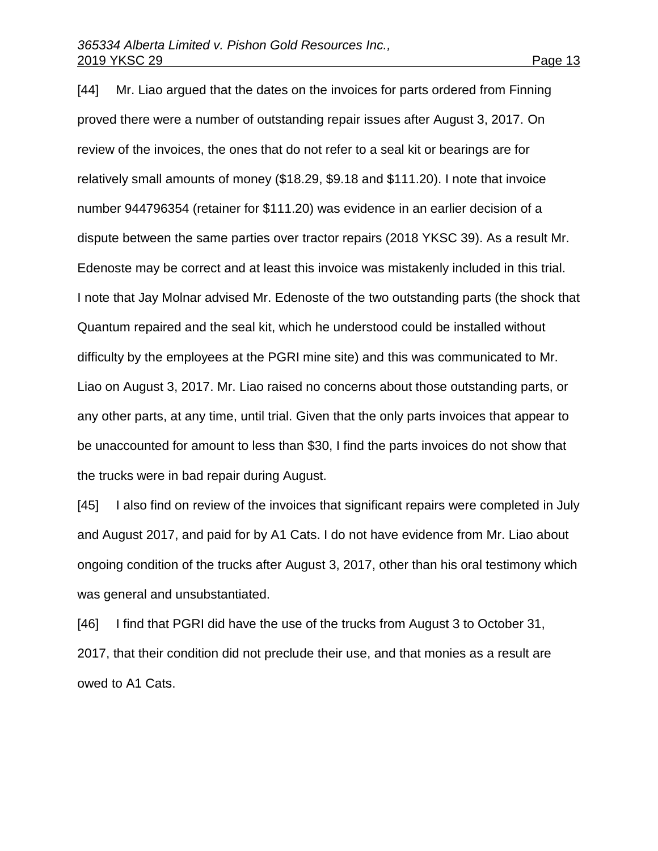[44] Mr. Liao argued that the dates on the invoices for parts ordered from Finning

proved there were a number of outstanding repair issues after August 3, 2017. On review of the invoices, the ones that do not refer to a seal kit or bearings are for relatively small amounts of money (\$18.29, \$9.18 and \$111.20). I note that invoice number 944796354 (retainer for \$111.20) was evidence in an earlier decision of a dispute between the same parties over tractor repairs (2018 YKSC 39). As a result Mr. Edenoste may be correct and at least this invoice was mistakenly included in this trial. I note that Jay Molnar advised Mr. Edenoste of the two outstanding parts (the shock that Quantum repaired and the seal kit, which he understood could be installed without difficulty by the employees at the PGRI mine site) and this was communicated to Mr. Liao on August 3, 2017. Mr. Liao raised no concerns about those outstanding parts, or any other parts, at any time, until trial. Given that the only parts invoices that appear to be unaccounted for amount to less than \$30, I find the parts invoices do not show that the trucks were in bad repair during August.

[45] I also find on review of the invoices that significant repairs were completed in July and August 2017, and paid for by A1 Cats. I do not have evidence from Mr. Liao about ongoing condition of the trucks after August 3, 2017, other than his oral testimony which was general and unsubstantiated.

[46] I find that PGRI did have the use of the trucks from August 3 to October 31, 2017, that their condition did not preclude their use, and that monies as a result are owed to A1 Cats.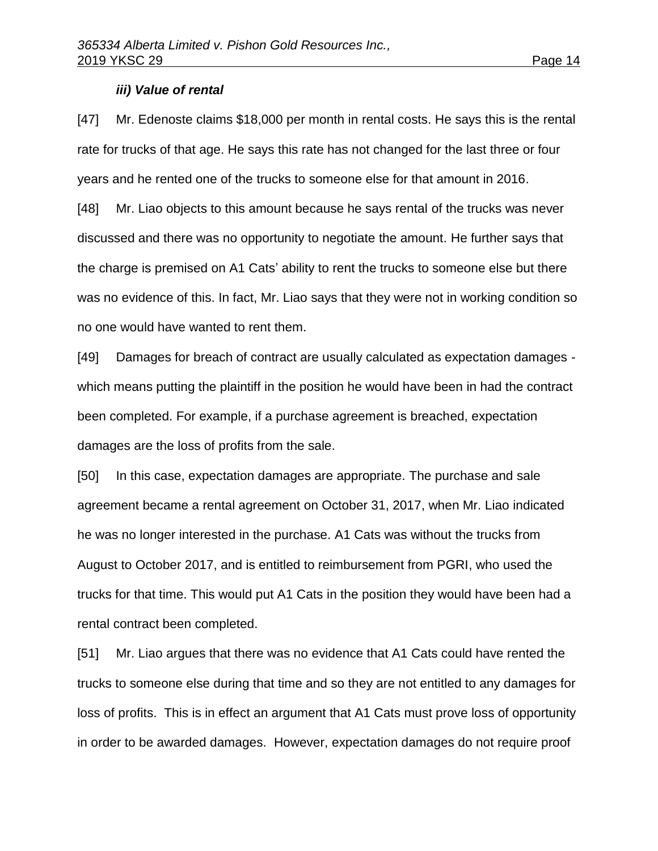### *iii) Value of rental*

[47] Mr. Edenoste claims \$18,000 per month in rental costs. He says this is the rental rate for trucks of that age. He says this rate has not changed for the last three or four years and he rented one of the trucks to someone else for that amount in 2016.

[48] Mr. Liao objects to this amount because he says rental of the trucks was never discussed and there was no opportunity to negotiate the amount. He further says that the charge is premised on A1 Cats' ability to rent the trucks to someone else but there was no evidence of this. In fact, Mr. Liao says that they were not in working condition so no one would have wanted to rent them.

[49] Damages for breach of contract are usually calculated as expectation damages which means putting the plaintiff in the position he would have been in had the contract been completed. For example, if a purchase agreement is breached, expectation damages are the loss of profits from the sale.

[50] In this case, expectation damages are appropriate. The purchase and sale agreement became a rental agreement on October 31, 2017, when Mr. Liao indicated he was no longer interested in the purchase. A1 Cats was without the trucks from August to October 2017, and is entitled to reimbursement from PGRI, who used the trucks for that time. This would put A1 Cats in the position they would have been had a rental contract been completed.

[51] Mr. Liao argues that there was no evidence that A1 Cats could have rented the trucks to someone else during that time and so they are not entitled to any damages for loss of profits. This is in effect an argument that A1 Cats must prove loss of opportunity in order to be awarded damages. However, expectation damages do not require proof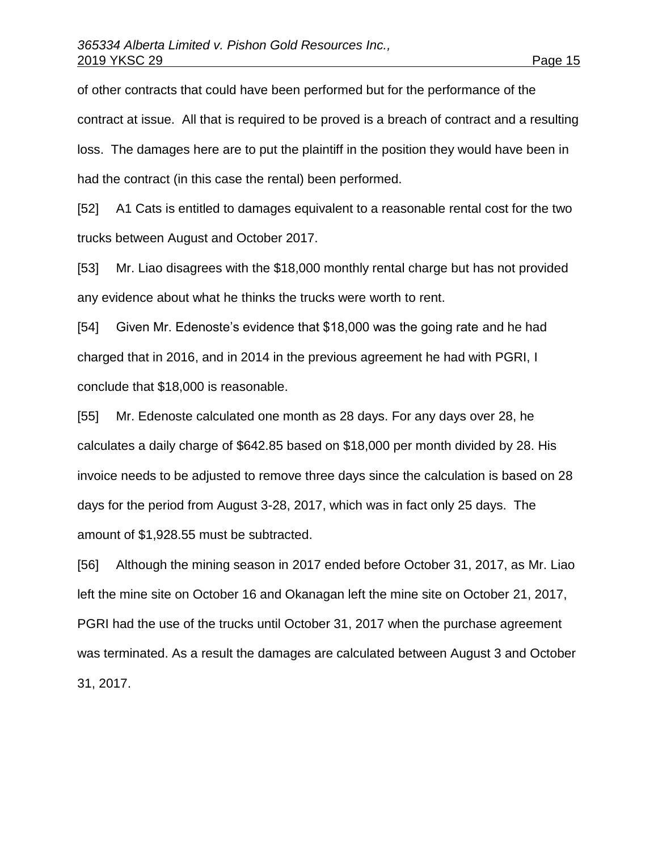of other contracts that could have been performed but for the performance of the contract at issue. All that is required to be proved is a breach of contract and a resulting loss. The damages here are to put the plaintiff in the position they would have been in had the contract (in this case the rental) been performed.

[52] A1 Cats is entitled to damages equivalent to a reasonable rental cost for the two trucks between August and October 2017.

[53] Mr. Liao disagrees with the \$18,000 monthly rental charge but has not provided any evidence about what he thinks the trucks were worth to rent.

[54] Given Mr. Edenoste's evidence that \$18,000 was the going rate and he had charged that in 2016, and in 2014 in the previous agreement he had with PGRI, I conclude that \$18,000 is reasonable.

[55] Mr. Edenoste calculated one month as 28 days. For any days over 28, he calculates a daily charge of \$642.85 based on \$18,000 per month divided by 28. His invoice needs to be adjusted to remove three days since the calculation is based on 28 days for the period from August 3-28, 2017, which was in fact only 25 days. The amount of \$1,928.55 must be subtracted.

[56] Although the mining season in 2017 ended before October 31, 2017, as Mr. Liao left the mine site on October 16 and Okanagan left the mine site on October 21, 2017, PGRI had the use of the trucks until October 31, 2017 when the purchase agreement was terminated. As a result the damages are calculated between August 3 and October 31, 2017.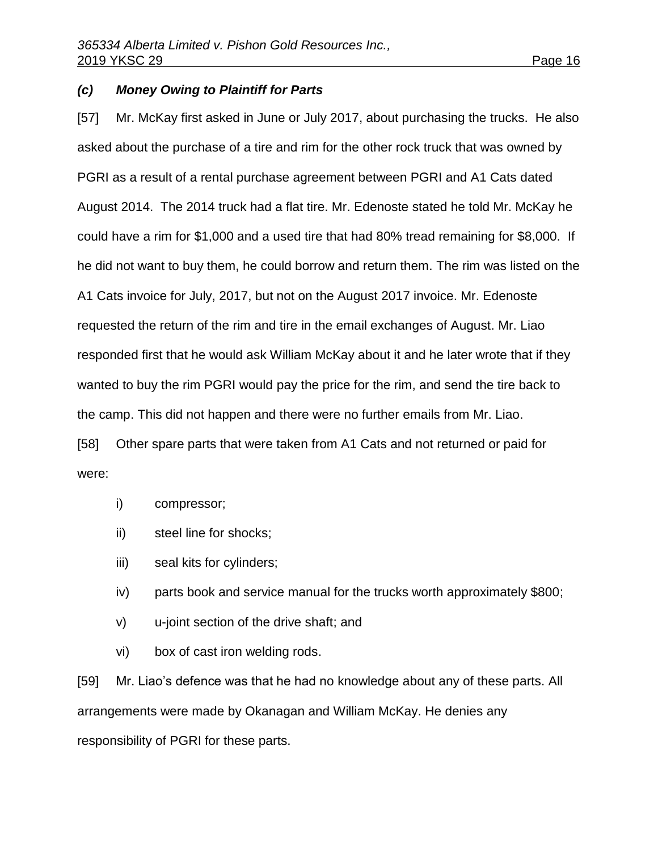### *(c) Money Owing to Plaintiff for Parts*

[57] Mr. McKay first asked in June or July 2017, about purchasing the trucks. He also asked about the purchase of a tire and rim for the other rock truck that was owned by PGRI as a result of a rental purchase agreement between PGRI and A1 Cats dated August 2014. The 2014 truck had a flat tire. Mr. Edenoste stated he told Mr. McKay he could have a rim for \$1,000 and a used tire that had 80% tread remaining for \$8,000. If he did not want to buy them, he could borrow and return them. The rim was listed on the A1 Cats invoice for July, 2017, but not on the August 2017 invoice. Mr. Edenoste requested the return of the rim and tire in the email exchanges of August. Mr. Liao responded first that he would ask William McKay about it and he later wrote that if they wanted to buy the rim PGRI would pay the price for the rim, and send the tire back to the camp. This did not happen and there were no further emails from Mr. Liao. [58] Other spare parts that were taken from A1 Cats and not returned or paid for

were:

- i) compressor;
- ii) steel line for shocks;
- iii) seal kits for cylinders;
- iv) parts book and service manual for the trucks worth approximately \$800;
- v) u-joint section of the drive shaft; and
- vi) box of cast iron welding rods.

[59] Mr. Liao's defence was that he had no knowledge about any of these parts. All arrangements were made by Okanagan and William McKay. He denies any responsibility of PGRI for these parts.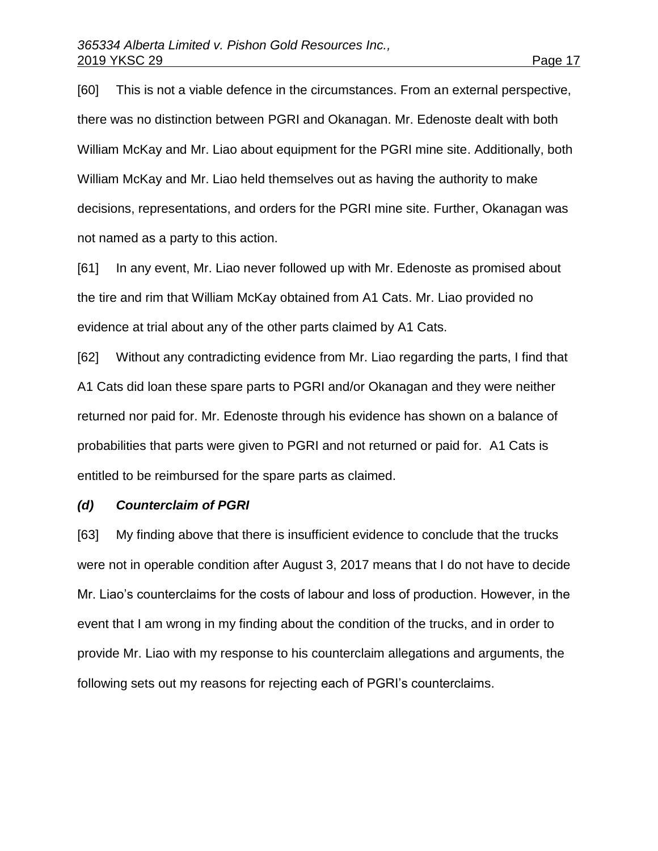[60] This is not a viable defence in the circumstances. From an external perspective, there was no distinction between PGRI and Okanagan. Mr. Edenoste dealt with both William McKay and Mr. Liao about equipment for the PGRI mine site. Additionally, both William McKay and Mr. Liao held themselves out as having the authority to make decisions, representations, and orders for the PGRI mine site. Further, Okanagan was not named as a party to this action.

[61] In any event, Mr. Liao never followed up with Mr. Edenoste as promised about the tire and rim that William McKay obtained from A1 Cats. Mr. Liao provided no evidence at trial about any of the other parts claimed by A1 Cats.

[62] Without any contradicting evidence from Mr. Liao regarding the parts, I find that A1 Cats did loan these spare parts to PGRI and/or Okanagan and they were neither returned nor paid for. Mr. Edenoste through his evidence has shown on a balance of probabilities that parts were given to PGRI and not returned or paid for. A1 Cats is entitled to be reimbursed for the spare parts as claimed.

#### *(d) Counterclaim of PGRI*

[63] My finding above that there is insufficient evidence to conclude that the trucks were not in operable condition after August 3, 2017 means that I do not have to decide Mr. Liao's counterclaims for the costs of labour and loss of production. However, in the event that I am wrong in my finding about the condition of the trucks, and in order to provide Mr. Liao with my response to his counterclaim allegations and arguments, the following sets out my reasons for rejecting each of PGRI's counterclaims.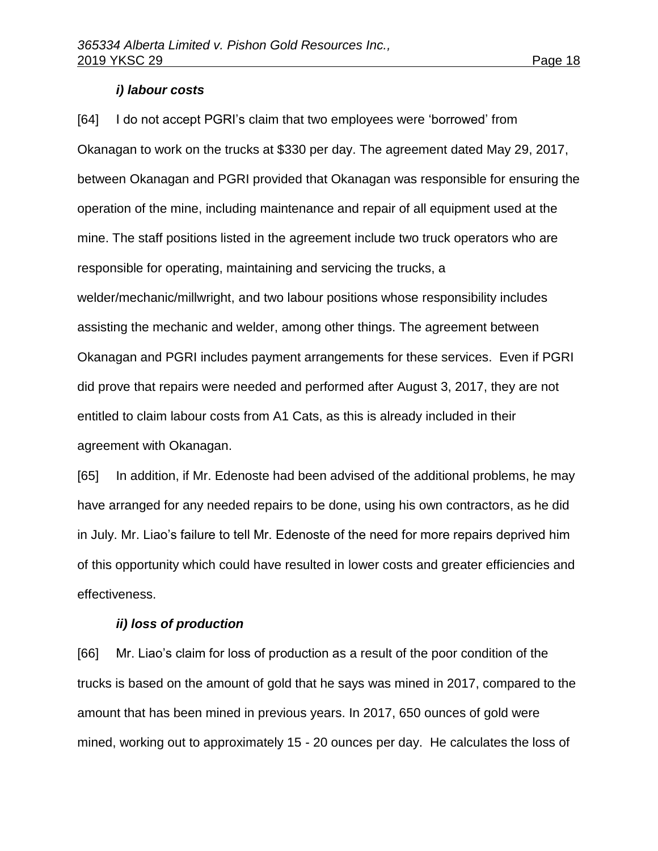### *i) labour costs*

[64] I do not accept PGRI's claim that two employees were 'borrowed' from Okanagan to work on the trucks at \$330 per day. The agreement dated May 29, 2017, between Okanagan and PGRI provided that Okanagan was responsible for ensuring the operation of the mine, including maintenance and repair of all equipment used at the mine. The staff positions listed in the agreement include two truck operators who are responsible for operating, maintaining and servicing the trucks, a welder/mechanic/millwright, and two labour positions whose responsibility includes assisting the mechanic and welder, among other things. The agreement between Okanagan and PGRI includes payment arrangements for these services. Even if PGRI did prove that repairs were needed and performed after August 3, 2017, they are not entitled to claim labour costs from A1 Cats, as this is already included in their agreement with Okanagan.

[65] In addition, if Mr. Edenoste had been advised of the additional problems, he may have arranged for any needed repairs to be done, using his own contractors, as he did in July. Mr. Liao's failure to tell Mr. Edenoste of the need for more repairs deprived him of this opportunity which could have resulted in lower costs and greater efficiencies and effectiveness.

### *ii) loss of production*

[66] Mr. Liao's claim for loss of production as a result of the poor condition of the trucks is based on the amount of gold that he says was mined in 2017, compared to the amount that has been mined in previous years. In 2017, 650 ounces of gold were mined, working out to approximately 15 - 20 ounces per day. He calculates the loss of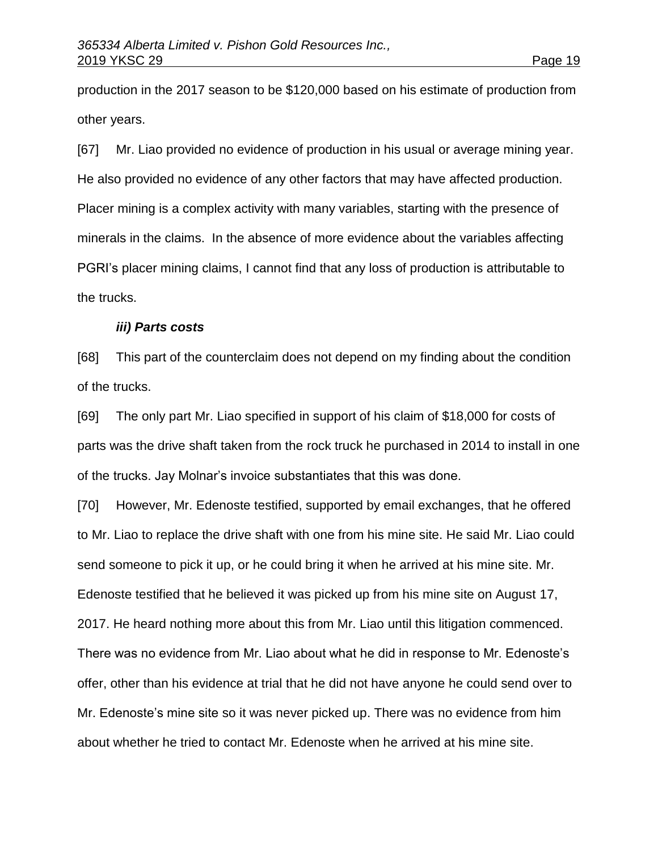production in the 2017 season to be \$120,000 based on his estimate of production from other years.

[67] Mr. Liao provided no evidence of production in his usual or average mining year. He also provided no evidence of any other factors that may have affected production. Placer mining is a complex activity with many variables, starting with the presence of minerals in the claims. In the absence of more evidence about the variables affecting PGRI's placer mining claims, I cannot find that any loss of production is attributable to the trucks.

#### *iii) Parts costs*

[68] This part of the counterclaim does not depend on my finding about the condition of the trucks.

[69] The only part Mr. Liao specified in support of his claim of \$18,000 for costs of parts was the drive shaft taken from the rock truck he purchased in 2014 to install in one of the trucks. Jay Molnar's invoice substantiates that this was done.

[70] However, Mr. Edenoste testified, supported by email exchanges, that he offered to Mr. Liao to replace the drive shaft with one from his mine site. He said Mr. Liao could send someone to pick it up, or he could bring it when he arrived at his mine site. Mr. Edenoste testified that he believed it was picked up from his mine site on August 17, 2017. He heard nothing more about this from Mr. Liao until this litigation commenced. There was no evidence from Mr. Liao about what he did in response to Mr. Edenoste's offer, other than his evidence at trial that he did not have anyone he could send over to Mr. Edenoste's mine site so it was never picked up. There was no evidence from him about whether he tried to contact Mr. Edenoste when he arrived at his mine site.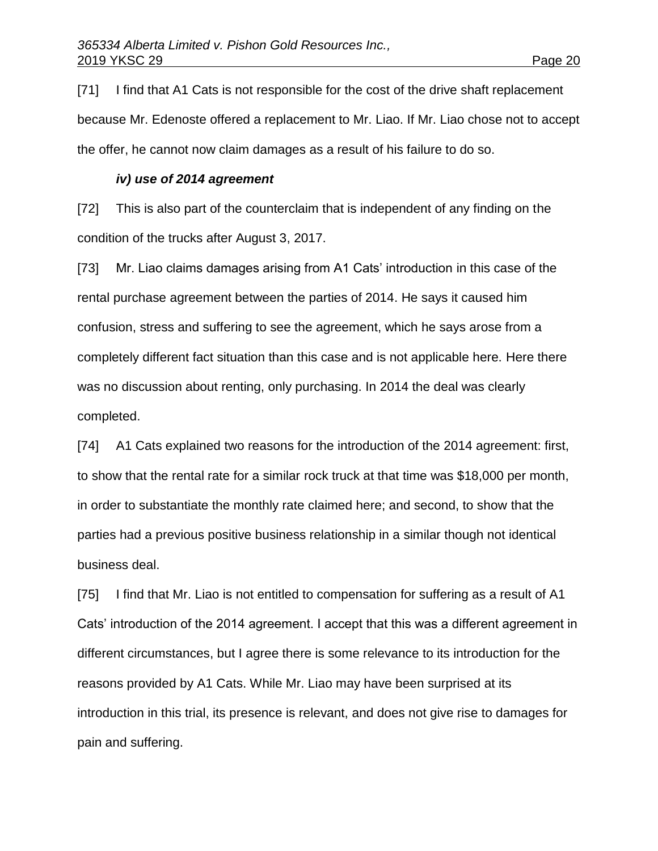[71] I find that A1 Cats is not responsible for the cost of the drive shaft replacement because Mr. Edenoste offered a replacement to Mr. Liao. If Mr. Liao chose not to accept the offer, he cannot now claim damages as a result of his failure to do so.

## *iv) use of 2014 agreement*

[72] This is also part of the counterclaim that is independent of any finding on the condition of the trucks after August 3, 2017.

[73] Mr. Liao claims damages arising from A1 Cats' introduction in this case of the rental purchase agreement between the parties of 2014. He says it caused him confusion, stress and suffering to see the agreement, which he says arose from a completely different fact situation than this case and is not applicable here. Here there was no discussion about renting, only purchasing. In 2014 the deal was clearly completed.

[74] A1 Cats explained two reasons for the introduction of the 2014 agreement: first, to show that the rental rate for a similar rock truck at that time was \$18,000 per month, in order to substantiate the monthly rate claimed here; and second, to show that the parties had a previous positive business relationship in a similar though not identical business deal.

[75] I find that Mr. Liao is not entitled to compensation for suffering as a result of A1 Cats' introduction of the 2014 agreement. I accept that this was a different agreement in different circumstances, but I agree there is some relevance to its introduction for the reasons provided by A1 Cats. While Mr. Liao may have been surprised at its introduction in this trial, its presence is relevant, and does not give rise to damages for pain and suffering.